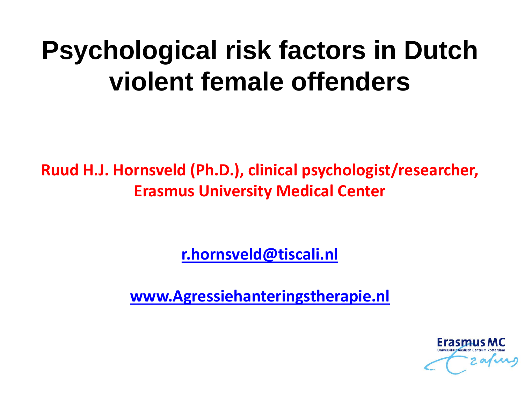# **Psychological risk factors in Dutch violent female offenders**

**Ruud H.J. Hornsveld (Ph.D.), clinical psychologist/researcher, Erasmus Universi[ty](mailto:Almar.Zwets@Kijvelanden.nl) Medical Center**

**[r.hornsveld@tiscali.nl](mailto:Almar.Zwets@Kijvelanden.nl)**

**www.Agressiehanteringstherapie.nl**

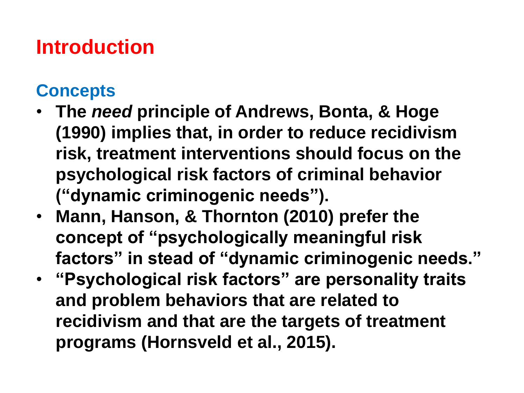# **Introduction**

#### **Concepts**

- **The** *need* **principle of Andrews, Bonta, & Hoge (1990) implies that, in order to reduce recidivism risk, treatment interventions should focus on the psychological risk factors of criminal behavior ("dynamic criminogenic needs").**
- **Mann, Hanson, & Thornton (2010) prefer the concept of "psychologically meaningful risk factors" in stead of "dynamic criminogenic needs."**
- **"Psychological risk factors" are personality traits and problem behaviors that are related to recidivism and that are the targets of treatment programs (Hornsveld et al., 2015).**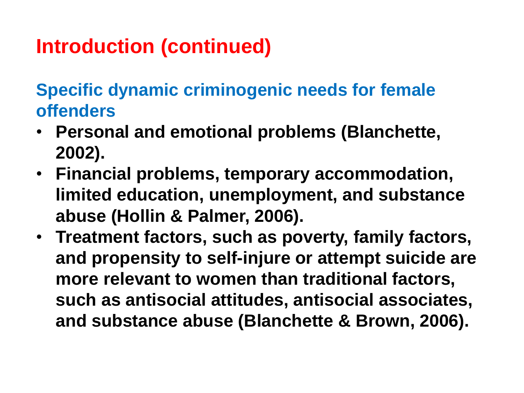**Specific dynamic criminogenic needs for female offenders**

- **Personal and emotional problems (Blanchette, 2002).**
- **Financial problems, temporary accommodation, limited education, unemployment, and substance abuse (Hollin & Palmer, 2006).**
- **Treatment factors, such as poverty, family factors, and propensity to self-injure or attempt suicide are more relevant to women than traditional factors, such as antisocial attitudes, antisocial associates, and substance abuse (Blanchette & Brown, 2006).**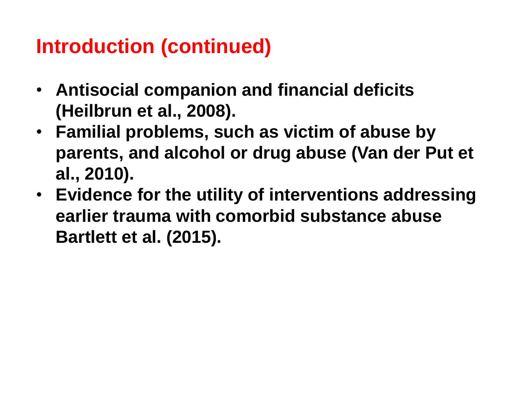- **Antisocial companion and financial deficits (Heilbrun et al., 2008).**
- **Familial problems, such as victim of abuse by parents, and alcohol or drug abuse (Van der Put et al., 2010).**
- **Evidence for the utility of interventions addressing earlier trauma with comorbid substance abuse Bartlett et al. (2015).**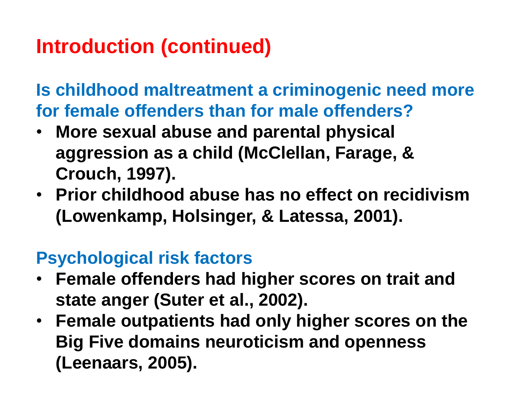**Is childhood maltreatment a criminogenic need more for female offenders than for male offenders?**

- **More sexual abuse and parental physical aggression as a child (McClellan, Farage, & Crouch, 1997).**
- **Prior childhood abuse has no effect on recidivism (Lowenkamp, Holsinger, & Latessa, 2001).**

#### **Psychological risk factors**

- **Female offenders had higher scores on trait and state anger (Suter et al., 2002).**
- **Female outpatients had only higher scores on the Big Five domains neuroticism and openness (Leenaars, 2005).**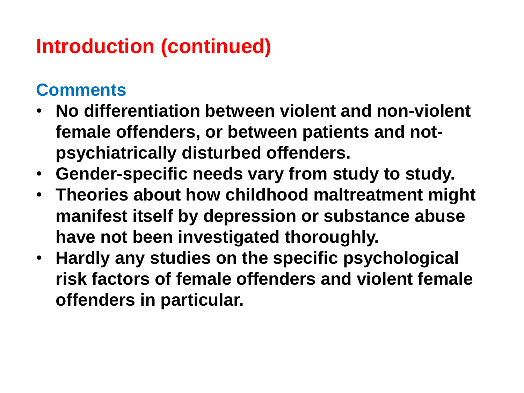#### **Comments**

- **No differentiation between violent and non-violent female offenders, or between patients and notpsychiatrically disturbed offenders.**
- **Gender-specific needs vary from study to study.**
- **Theories about how childhood maltreatment might manifest itself by depression or substance abuse have not been investigated thoroughly.**
- **Hardly any studies on the specific psychological risk factors of female offenders and violent female offenders in particular.**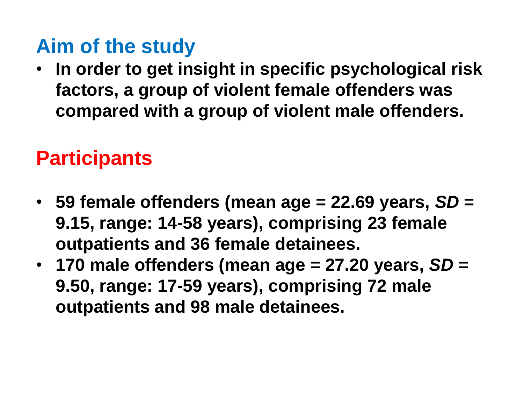# **Aim of the study**

• **In order to get insight in specific psychological risk factors, a group of violent female offenders was compared with a group of violent male offenders.** 

### **Participants**

- **59 female offenders (mean age = 22.69 years,** *SD* **= 9.15, range: 14-58 years), comprising 23 female outpatients and 36 female detainees.**
- **170 male offenders (mean age = 27.20 years,** *SD* **= 9.50, range: 17-59 years), comprising 72 male outpatients and 98 male detainees.**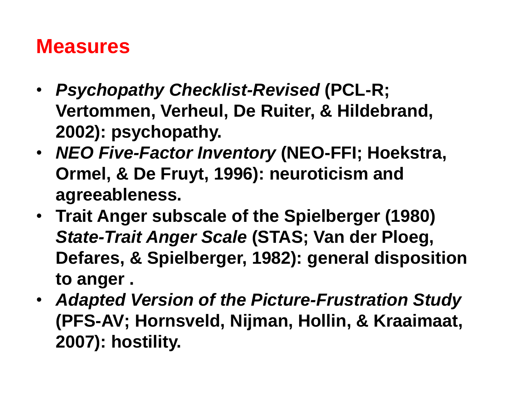#### **Measures**

- *Psychopathy Checklist-Revised* **(PCL-R; Vertommen, Verheul, De Ruiter, & Hildebrand, 2002): psychopathy.**
- *NEO Five-Factor Inventory* **(NEO-FFI; Hoekstra, Ormel, & De Fruyt, 1996): neuroticism and agreeableness.**
- **Trait Anger subscale of the Spielberger (1980)**  *State-Trait Anger Scale* **(STAS; Van der Ploeg, Defares, & Spielberger, 1982): general disposition to anger .**
- *Adapted Version of the Picture-Frustration Study*  **(PFS-AV; Hornsveld, Nijman, Hollin, & Kraaimaat, 2007): hostility.**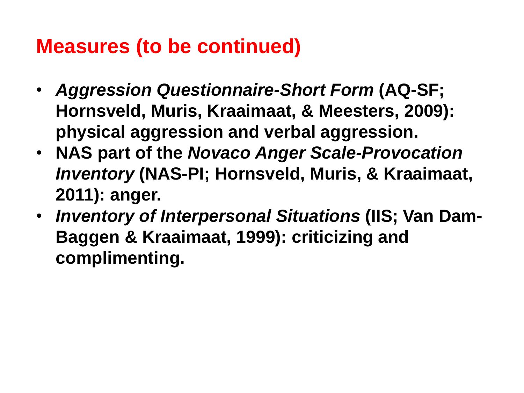# **Measures (to be continued)**

- *Aggression Questionnaire-Short Form* **(AQ-SF; Hornsveld, Muris, Kraaimaat, & Meesters, 2009): physical aggression and verbal aggression.**
- **NAS part of the** *Novaco Anger Scale-Provocation Inventory* **(NAS-PI; Hornsveld, Muris, & Kraaimaat, 2011): anger.**
- *Inventory of Interpersonal Situations* **(IIS; Van Dam-Baggen & Kraaimaat, 1999): criticizing and complimenting.**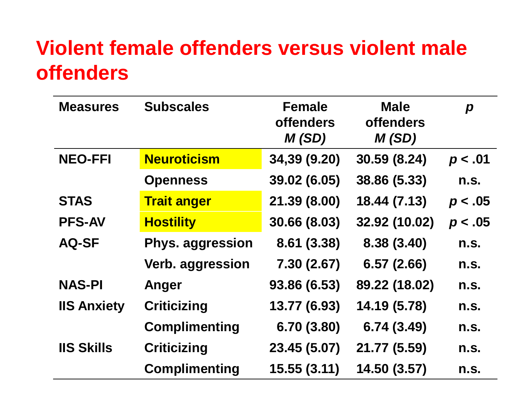### **Violent female offenders versus violent male offenders**

| <b>Measures</b>    | <b>Subscales</b>        | <b>Female</b><br><b>offenders</b><br>M(SD) | <b>Male</b><br><b>offenders</b><br>M(SD) | $\boldsymbol{p}$ |
|--------------------|-------------------------|--------------------------------------------|------------------------------------------|------------------|
| <b>NEO-FFI</b>     | <b>Neuroticism</b>      | 34,39 (9.20)                               | 30.59 (8.24)                             | p < .01          |
|                    | <b>Openness</b>         | 39.02 (6.05)                               | 38.86 (5.33)                             | n.S.             |
| <b>STAS</b>        | <b>Trait anger</b>      | 21.39 (8.00)                               | 18.44 (7.13)                             | p < .05          |
| <b>PFS-AV</b>      | <b>Hostility</b>        | 30.66 (8.03)                               | 32.92 (10.02)                            | p < .05          |
| <b>AQ-SF</b>       | <b>Phys. aggression</b> | 8.61 (3.38)                                | 8.38 (3.40)                              | n.S.             |
|                    | Verb. aggression        | 7.30 (2.67)                                | 6.57(2.66)                               | n.S.             |
| <b>NAS-PI</b>      | Anger                   | 93.86 (6.53)                               | 89.22 (18.02)                            | n.S.             |
| <b>IIS Anxiety</b> | <b>Criticizing</b>      | 13.77 (6.93)                               | 14.19 (5.78)                             | n.S.             |
|                    | <b>Complimenting</b>    | 6.70(3.80)                                 | 6.74(3.49)                               | n.S.             |
| <b>IIS Skills</b>  | <b>Criticizing</b>      | 23.45 (5.07)                               | 21.77 (5.59)                             | n.S.             |
|                    | <b>Complimenting</b>    | 15.55(3.11)                                | 14.50 (3.57)                             | n.S.             |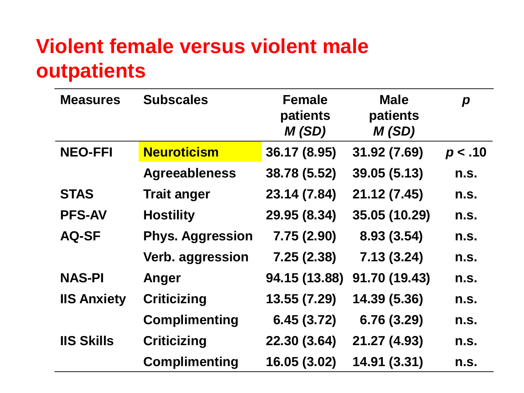# **Violent female versus violent male outpatients**

| <b>Measures</b>    | <b>Subscales</b>        | <b>Female</b><br>patients<br>M(SD) | <b>Male</b><br><b>patients</b><br>M(SD) | $\boldsymbol{p}$ |
|--------------------|-------------------------|------------------------------------|-----------------------------------------|------------------|
| <b>NEO-FFI</b>     | <b>Neuroticism</b>      | 36.17 (8.95)                       | 31.92 (7.69)                            | p < .10          |
|                    | <b>Agreeableness</b>    | 38.78 (5.52)                       | 39.05 (5.13)                            | n.S.             |
| <b>STAS</b>        | <b>Trait anger</b>      | 23.14 (7.84)                       | 21.12 (7.45)                            | n.S.             |
| <b>PFS-AV</b>      | <b>Hostility</b>        | 29.95 (8.34)                       | 35.05 (10.29)                           | n.S.             |
| <b>AQ-SF</b>       | <b>Phys. Aggression</b> | 7.75(2.90)                         | 8.93 (3.54)                             | n.S.             |
|                    | Verb. aggression        | 7.25(2.38)                         | 7.13(3.24)                              | n.S.             |
| <b>NAS-PI</b>      | Anger                   | 94.15 (13.88)                      | 91.70 (19.43)                           | n.S.             |
| <b>IIS Anxiety</b> | <b>Criticizing</b>      | 13.55 (7.29)                       | 14.39 (5.36)                            | n.S.             |
|                    | <b>Complimenting</b>    | 6.45(3.72)                         | 6.76(3.29)                              | n.S.             |
| <b>IIS Skills</b>  | <b>Criticizing</b>      | 22.30 (3.64)                       | 21.27 (4.93)                            | n.S.             |
|                    | <b>Complimenting</b>    | 16.05 (3.02)                       | 14.91 (3.31)                            | n.s.             |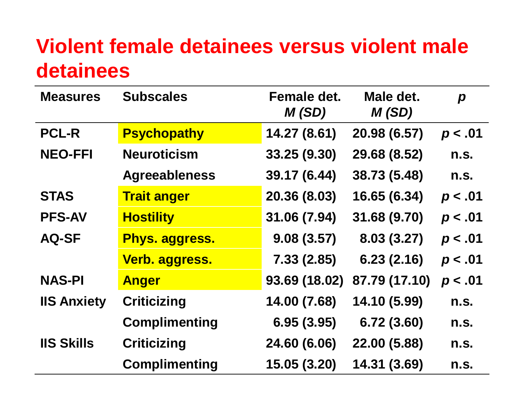#### **Violent female detainees versus violent male detainees**

| <b>Measures</b>    | <b>Subscales</b>     | Female det.<br>M(SD) | Male det.<br>M(SD) | $\boldsymbol{p}$ |
|--------------------|----------------------|----------------------|--------------------|------------------|
| <b>PCL-R</b>       | <b>Psychopathy</b>   | 14.27 (8.61)         | 20.98 (6.57)       | p < .01          |
| <b>NEO-FFI</b>     | <b>Neuroticism</b>   | 33.25 (9.30)         | 29.68 (8.52)       | n.S.             |
|                    | <b>Agreeableness</b> | 39.17 (6.44)         | 38.73 (5.48)       | n.S.             |
| <b>STAS</b>        | <b>Trait anger</b>   | 20.36 (8.03)         | 16.65 (6.34)       | p < .01          |
| <b>PFS-AV</b>      | <b>Hostility</b>     | 31.06 (7.94)         | 31.68 (9.70)       | p < .01          |
| <b>AQ-SF</b>       | Phys. aggress.       | 9.08(3.57)           | 8.03(3.27)         | p < .01          |
|                    | Verb. aggress.       | 7.33(2.85)           | 6.23(2.16)         | p < .01          |
| <b>NAS-PI</b>      | <b>Anger</b>         | 93.69 (18.02)        | 87.79 (17.10)      | p < .01          |
| <b>IIS Anxiety</b> | <b>Criticizing</b>   | 14.00 (7.68)         | 14.10 (5.99)       | n.S.             |
|                    | <b>Complimenting</b> | 6.95(3.95)           | 6.72(3.60)         | n.s.             |
| <b>IIS Skills</b>  | <b>Criticizing</b>   | 24.60 (6.06)         | 22.00 (5.88)       | n.s.             |
|                    | <b>Complimenting</b> | 15.05 (3.20)         | 14.31 (3.69)       | n.s.             |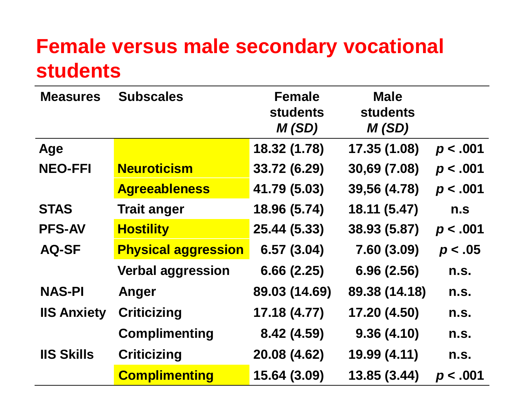### **Female versus male secondary vocational students**

| <b>Measures</b>    | <b>Subscales</b>           | <b>Female</b><br><b>students</b><br>M(SD) | <b>Male</b><br><b>students</b><br>M(SD) |          |
|--------------------|----------------------------|-------------------------------------------|-----------------------------------------|----------|
| Age                |                            | 18.32 (1.78)                              | 17.35 (1.08)                            | p < .001 |
| <b>NEO-FFI</b>     | <b>Neuroticism</b>         | 33.72 (6.29)                              | 30,69 (7.08)                            | p < .001 |
|                    | <b>Agreeableness</b>       | 41.79 (5.03)                              | 39,56 (4.78)                            | p < .001 |
| <b>STAS</b>        | <b>Trait anger</b>         | 18.96 (5.74)                              | 18.11 (5.47)                            | n.s      |
| <b>PFS-AV</b>      | <b>Hostility</b>           | 25.44 (5.33)                              | 38.93 (5.87)                            | p < .001 |
| <b>AQ-SF</b>       | <b>Physical aggression</b> | 6.57(3.04)                                | 7.60(3.09)                              | p < .05  |
|                    | <b>Verbal aggression</b>   | 6.66(2.25)                                | 6.96(2.56)                              | n.S.     |
| <b>NAS-PI</b>      | Anger                      | 89.03 (14.69)                             | 89.38 (14.18)                           | n.S.     |
| <b>IIS Anxiety</b> | <b>Criticizing</b>         | 17.18 (4.77)                              | 17.20 (4.50)                            | n.S.     |
|                    | <b>Complimenting</b>       | 8.42 (4.59)                               | 9.36(4.10)                              | n.S.     |
| <b>IIS Skills</b>  | <b>Criticizing</b>         | 20.08 (4.62)                              | 19.99 (4.11)                            | n.S.     |
|                    | <b>Complimenting</b>       | 15.64 (3.09)                              | 13.85 (3.44)                            | p < .001 |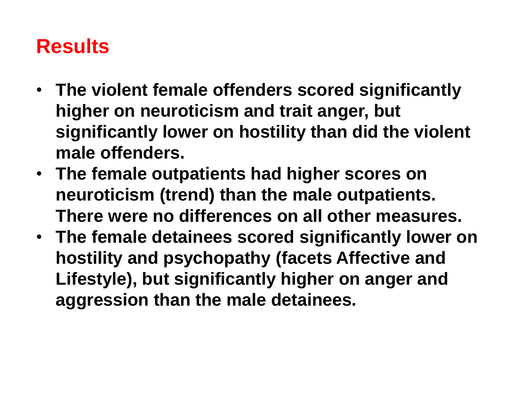# **Results**

- **The violent female offenders scored significantly higher on neuroticism and trait anger, but significantly lower on hostility than did the violent male offenders.**
- **The female outpatients had higher scores on neuroticism (trend) than the male outpatients. There were no differences on all other measures.**
- **The female detainees scored significantly lower on hostility and psychopathy (facets Affective and Lifestyle), but significantly higher on anger and aggression than the male detainees.**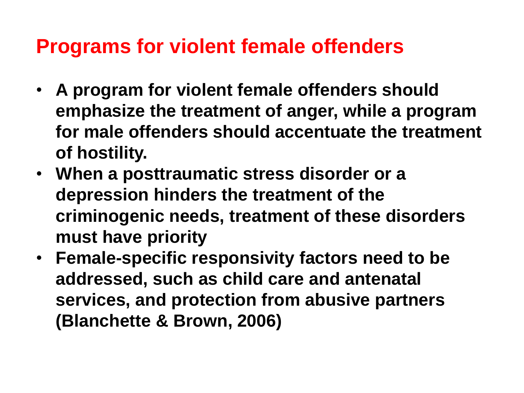#### **Programs for violent female offenders**

- **A program for violent female offenders should emphasize the treatment of anger, while a program for male offenders should accentuate the treatment of hostility.**
- **When a posttraumatic stress disorder or a depression hinders the treatment of the criminogenic needs, treatment of these disorders must have priority**
- **Female-specific responsivity factors need to be addressed, such as child care and antenatal services, and protection from abusive partners (Blanchette & Brown, 2006)**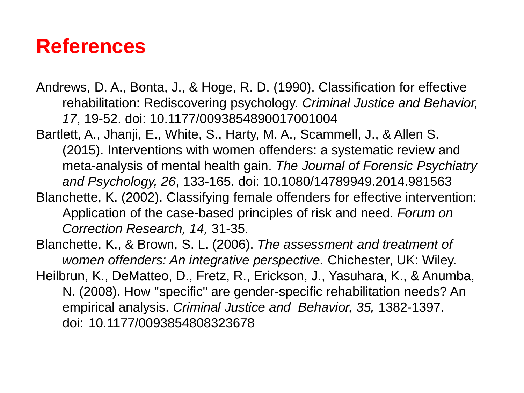#### **References**

- Andrews, D. A., Bonta, J., & Hoge, R. D. (1990). Classification for effective rehabilitation: Rediscovering psychology. *Criminal Justice and Behavior, 17*, 19-52. doi: 10.1177/0093854890017001004
- Bartlett, A., Jhanji, E., White, S., Harty, M. A., Scammell, J., & Allen S. (2015). Interventions with women offenders: a systematic review and meta-analysis of mental health gain. *The Journal of Forensic Psychiatry and Psychology, 26*, 133-165. doi: 10.1080/14789949.2014.981563
- Blanchette, K. (2002). Classifying female offenders for effective intervention: Application of the case-based principles of risk and need. *Forum on Correction Research, 14,* 31-35.

Blanchette, K., & Brown, S. L. (2006). *The assessment and treatment of women offenders: An integrative perspective.* Chichester, UK: Wiley. Heilbrun, K., DeMatteo, D., Fretz, R., Erickson, J., Yasuhara, K., & Anumba, N. (2008). How ''specific'' are gender-specific rehabilitation needs? An empirical analysis. *Criminal Justice and Behavior, 35,* 1382-1397. doi: 10.1177/0093854808323678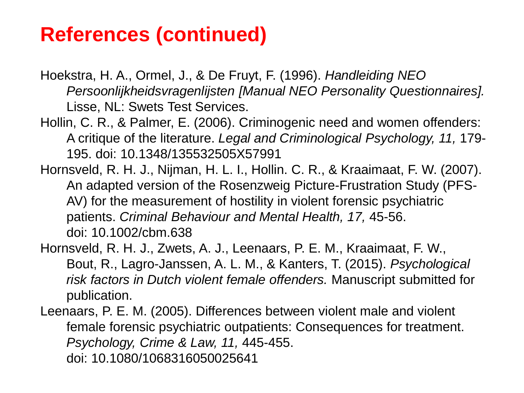### **References (continued)**

Hoekstra, H. A., Ormel, J., & De Fruyt, F. (1996). *Handleiding NEO Persoonlijkheidsvragenlijsten [Manual NEO Personality Questionnaires].*  Lisse, NL: Swets Test Services.

- Hollin, C. R., & Palmer, E. (2006). Criminogenic need and women offenders: A critique of the literature. *Legal and Criminological Psychology, 11,* 179- 195. doi: 10.1348/135532505X57991
- Hornsveld, R. H. J., Nijman, H. L. I., Hollin. C. R., & Kraaimaat, F. W. (2007). An adapted version of the Rosenzweig Picture-Frustration Study (PFS-AV) for the measurement of hostility in violent forensic psychiatric patients. *Criminal Behaviour and Mental Health, 17,* 45-56. doi: 10.1002/cbm.638
- Hornsveld, R. H. J., Zwets, A. J., Leenaars, P. E. M., Kraaimaat, F. W., Bout, R., Lagro-Janssen, A. L. M., & Kanters, T. (2015). *Psychological risk factors in Dutch violent female offenders.* Manuscript submitted for publication.

Leenaars, P. E. M. (2005). Differences between violent male and violent female forensic psychiatric outpatients: Consequences for treatment. *Psychology, Crime & Law, 11,* 445-455. doi: 10.1080/1068316050025641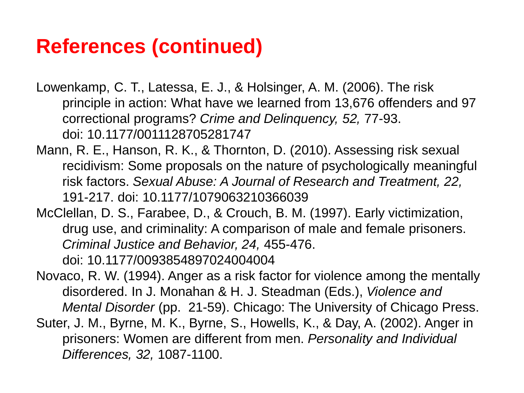## **References (continued)**

- Lowenkamp, C. T., Latessa, E. J., & Holsinger, A. M. (2006). The risk principle in action: What have we learned from 13,676 offenders and 97 correctional programs? *Crime and Delinquency, 52,* 77-93. doi: 10.1177/0011128705281747
- Mann, R. E., Hanson, R. K., & Thornton, D. (2010). Assessing risk sexual recidivism: Some proposals on the nature of psychologically meaningful risk factors. *Sexual Abuse: A Journal of Research and Treatment, 22,*  191-217. doi: 10.1177/1079063210366039
- McClellan, D. S., Farabee, D., & Crouch, B. M. (1997). Early victimization, drug use, and criminality: A comparison of male and female prisoners. *Criminal Justice and Behavior, 24,* 455-476. doi: 10.1177/0093854897024004004
- Novaco, R. W. (1994). Anger as a risk factor for violence among the mentally disordered. In J. Monahan & H. J. Steadman (Eds.), *Violence and Mental Disorder* (pp. 21-59). Chicago: The University of Chicago Press.
- Suter, J. M., Byrne, M. K., Byrne, S., Howells, K., & Day, A. (2002). Anger in prisoners: Women are different from men. *Personality and Individual Differences, 32,* 1087-1100.